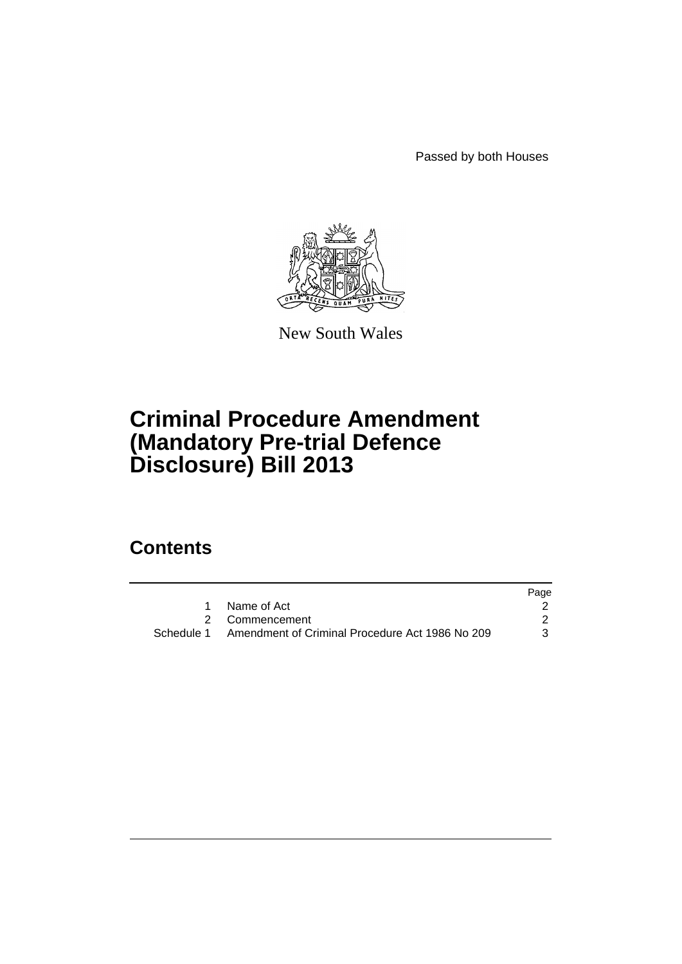Passed by both Houses



New South Wales

# **Criminal Procedure Amendment (Mandatory Pre-trial Defence Disclosure) Bill 2013**

## **Contents**

|                                                            | Page |
|------------------------------------------------------------|------|
| 1 Name of Act                                              |      |
| 2 Commencement                                             |      |
| Schedule 1 Amendment of Criminal Procedure Act 1986 No 209 | 3    |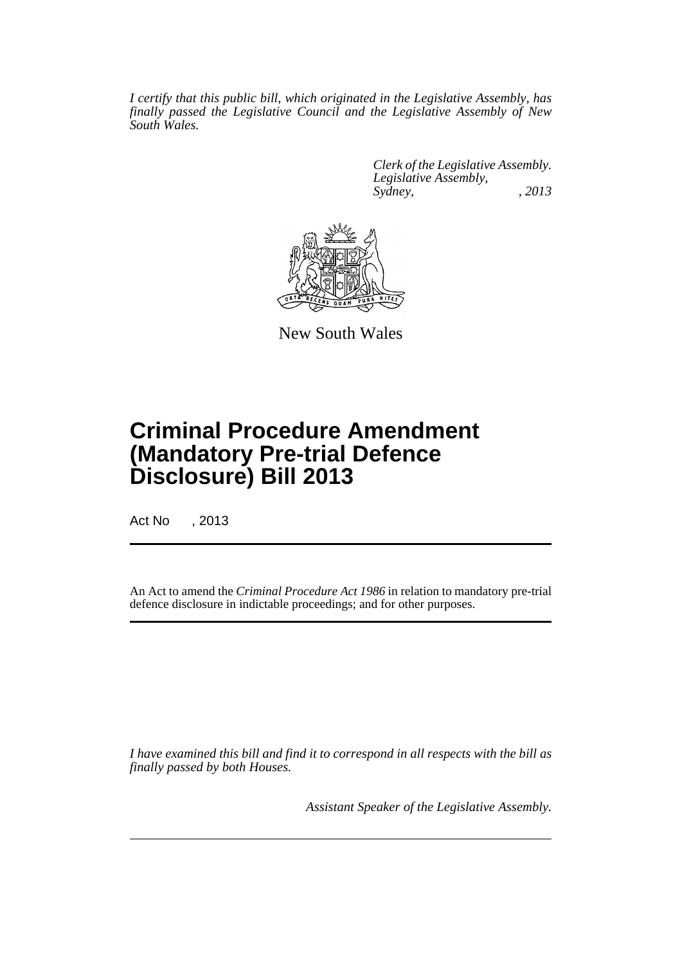*I certify that this public bill, which originated in the Legislative Assembly, has finally passed the Legislative Council and the Legislative Assembly of New South Wales.*

> *Clerk of the Legislative Assembly. Legislative Assembly, Sydney, , 2013*



New South Wales

# **Criminal Procedure Amendment (Mandatory Pre-trial Defence Disclosure) Bill 2013**

Act No , 2013

An Act to amend the *Criminal Procedure Act 1986* in relation to mandatory pre-trial defence disclosure in indictable proceedings; and for other purposes.

*I have examined this bill and find it to correspond in all respects with the bill as finally passed by both Houses.*

*Assistant Speaker of the Legislative Assembly.*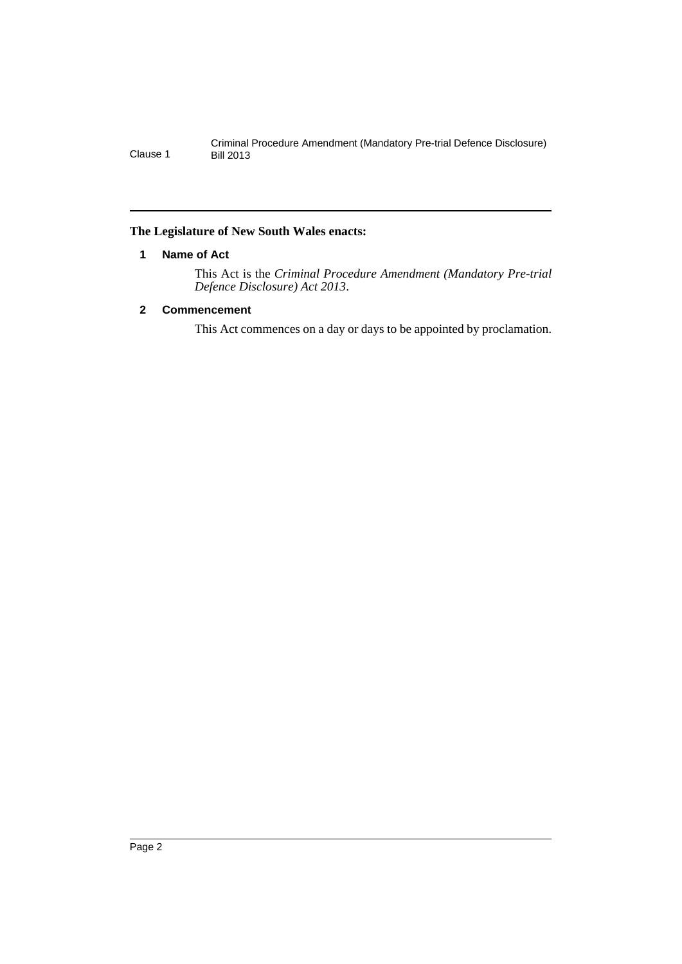#### <span id="page-3-0"></span>**The Legislature of New South Wales enacts:**

#### **1 Name of Act**

This Act is the *Criminal Procedure Amendment (Mandatory Pre-trial Defence Disclosure) Act 2013*.

#### <span id="page-3-1"></span>**2 Commencement**

This Act commences on a day or days to be appointed by proclamation.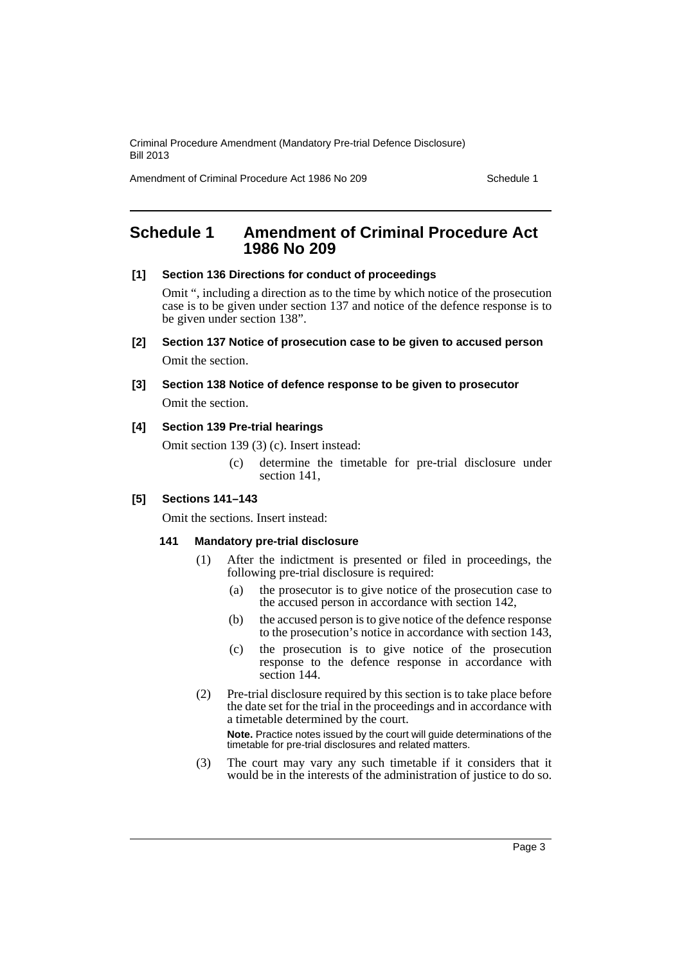Amendment of Criminal Procedure Act 1986 No 209 Schedule 1

### <span id="page-4-0"></span>**Schedule 1 Amendment of Criminal Procedure Act 1986 No 209**

#### **[1] Section 136 Directions for conduct of proceedings**

Omit ", including a direction as to the time by which notice of the prosecution case is to be given under section 137 and notice of the defence response is to be given under section 138".

- **[2] Section 137 Notice of prosecution case to be given to accused person** Omit the section.
- **[3] Section 138 Notice of defence response to be given to prosecutor** Omit the section.

#### **[4] Section 139 Pre-trial hearings**

Omit section 139 (3) (c). Insert instead:

(c) determine the timetable for pre-trial disclosure under section 141,

#### **[5] Sections 141–143**

Omit the sections. Insert instead:

#### **141 Mandatory pre-trial disclosure**

- (1) After the indictment is presented or filed in proceedings, the following pre-trial disclosure is required:
	- (a) the prosecutor is to give notice of the prosecution case to the accused person in accordance with section 142,
	- (b) the accused person is to give notice of the defence response to the prosecution's notice in accordance with section 143,
	- (c) the prosecution is to give notice of the prosecution response to the defence response in accordance with section 144.
- (2) Pre-trial disclosure required by this section is to take place before the date set for the trial in the proceedings and in accordance with a timetable determined by the court.

**Note.** Practice notes issued by the court will guide determinations of the timetable for pre-trial disclosures and related matters.

(3) The court may vary any such timetable if it considers that it would be in the interests of the administration of justice to do so.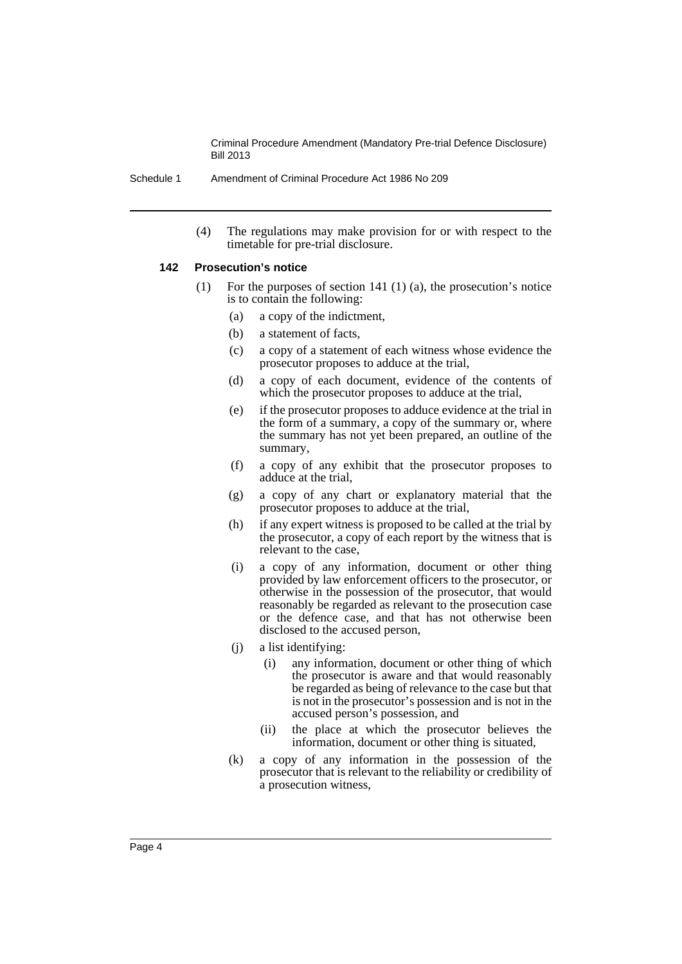Schedule 1 Amendment of Criminal Procedure Act 1986 No 209

(4) The regulations may make provision for or with respect to the timetable for pre-trial disclosure.

#### **142 Prosecution's notice**

- (1) For the purposes of section 141 (1) (a), the prosecution's notice is to contain the following:
	- (a) a copy of the indictment,
	- (b) a statement of facts,
	- (c) a copy of a statement of each witness whose evidence the prosecutor proposes to adduce at the trial,
	- (d) a copy of each document, evidence of the contents of which the prosecutor proposes to adduce at the trial,
	- (e) if the prosecutor proposes to adduce evidence at the trial in the form of a summary, a copy of the summary or, where the summary has not yet been prepared, an outline of the summary,
	- (f) a copy of any exhibit that the prosecutor proposes to adduce at the trial,
	- (g) a copy of any chart or explanatory material that the prosecutor proposes to adduce at the trial,
	- (h) if any expert witness is proposed to be called at the trial by the prosecutor, a copy of each report by the witness that is relevant to the case,
	- (i) a copy of any information, document or other thing provided by law enforcement officers to the prosecutor, or otherwise in the possession of the prosecutor, that would reasonably be regarded as relevant to the prosecution case or the defence case, and that has not otherwise been disclosed to the accused person,
	- (j) a list identifying:
		- (i) any information, document or other thing of which the prosecutor is aware and that would reasonably be regarded as being of relevance to the case but that is not in the prosecutor's possession and is not in the accused person's possession, and
		- (ii) the place at which the prosecutor believes the information, document or other thing is situated,
	- (k) a copy of any information in the possession of the prosecutor that is relevant to the reliability or credibility of a prosecution witness,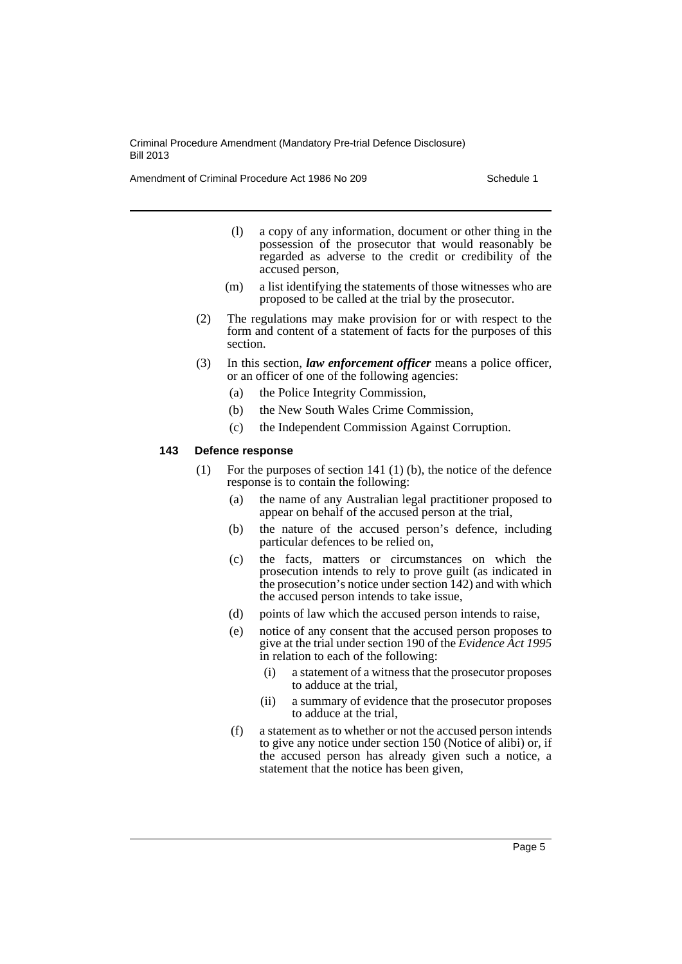Amendment of Criminal Procedure Act 1986 No 209 Schedule 1

- (l) a copy of any information, document or other thing in the possession of the prosecutor that would reasonably be regarded as adverse to the credit or credibility of the accused person,
- (m) a list identifying the statements of those witnesses who are proposed to be called at the trial by the prosecutor.
- (2) The regulations may make provision for or with respect to the form and content of a statement of facts for the purposes of this section.
- (3) In this section, *law enforcement officer* means a police officer, or an officer of one of the following agencies:
	- (a) the Police Integrity Commission,
	- (b) the New South Wales Crime Commission,
	- (c) the Independent Commission Against Corruption.

#### **143 Defence response**

- (1) For the purposes of section 141 (1) (b), the notice of the defence response is to contain the following:
	- (a) the name of any Australian legal practitioner proposed to appear on behalf of the accused person at the trial,
	- (b) the nature of the accused person's defence, including particular defences to be relied on,
	- (c) the facts, matters or circumstances on which the prosecution intends to rely to prove guilt (as indicated in the prosecution's notice under section 142) and with which the accused person intends to take issue,
	- (d) points of law which the accused person intends to raise,
	- (e) notice of any consent that the accused person proposes to give at the trial under section 190 of the *Evidence Act 1995* in relation to each of the following:
		- (i) a statement of a witness that the prosecutor proposes to adduce at the trial,
		- (ii) a summary of evidence that the prosecutor proposes to adduce at the trial,
	- (f) a statement as to whether or not the accused person intends to give any notice under section 150 (Notice of alibi) or, if the accused person has already given such a notice, a statement that the notice has been given,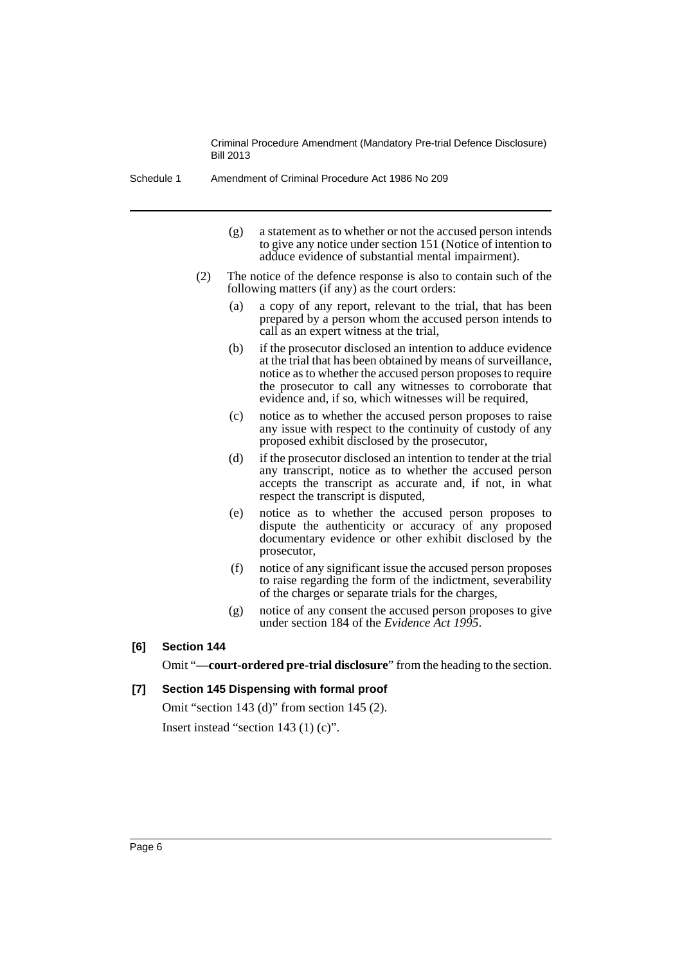Schedule 1 Amendment of Criminal Procedure Act 1986 No 209

- (g) a statement as to whether or not the accused person intends to give any notice under section 151 (Notice of intention to adduce evidence of substantial mental impairment).
- (2) The notice of the defence response is also to contain such of the following matters (if any) as the court orders:
	- (a) a copy of any report, relevant to the trial, that has been prepared by a person whom the accused person intends to call as an expert witness at the trial,
	- (b) if the prosecutor disclosed an intention to adduce evidence at the trial that has been obtained by means of surveillance, notice as to whether the accused person proposes to require the prosecutor to call any witnesses to corroborate that evidence and, if so, which witnesses will be required,
	- (c) notice as to whether the accused person proposes to raise any issue with respect to the continuity of custody of any proposed exhibit disclosed by the prosecutor,
	- (d) if the prosecutor disclosed an intention to tender at the trial any transcript, notice as to whether the accused person accepts the transcript as accurate and, if not, in what respect the transcript is disputed,
	- (e) notice as to whether the accused person proposes to dispute the authenticity or accuracy of any proposed documentary evidence or other exhibit disclosed by the prosecutor,
	- (f) notice of any significant issue the accused person proposes to raise regarding the form of the indictment, severability of the charges or separate trials for the charges,
	- (g) notice of any consent the accused person proposes to give under section 184 of the *Evidence Act 1995*.

#### **[6] Section 144**

Omit "**—court-ordered pre-trial disclosure**" from the heading to the section.

#### **[7] Section 145 Dispensing with formal proof**

Omit "section 143 (d)" from section 145 (2). Insert instead "section 143 (1) (c)".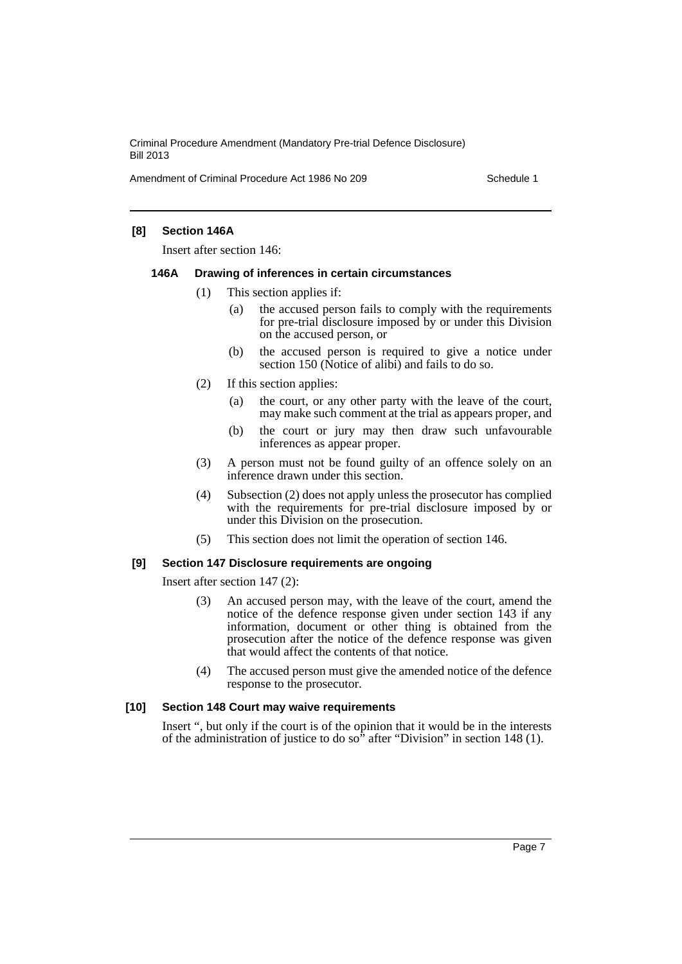Amendment of Criminal Procedure Act 1986 No 209 Schedule 1

#### **[8] Section 146A**

Insert after section 146:

#### **146A Drawing of inferences in certain circumstances**

- (1) This section applies if:
	- (a) the accused person fails to comply with the requirements for pre-trial disclosure imposed by or under this Division on the accused person, or
	- (b) the accused person is required to give a notice under section 150 (Notice of alibi) and fails to do so.
- (2) If this section applies:
	- (a) the court, or any other party with the leave of the court, may make such comment at the trial as appears proper, and
	- (b) the court or jury may then draw such unfavourable inferences as appear proper.
- (3) A person must not be found guilty of an offence solely on an inference drawn under this section.
- (4) Subsection (2) does not apply unless the prosecutor has complied with the requirements for pre-trial disclosure imposed by or under this Division on the prosecution.
- (5) This section does not limit the operation of section 146.

#### **[9] Section 147 Disclosure requirements are ongoing**

Insert after section 147 (2):

- (3) An accused person may, with the leave of the court, amend the notice of the defence response given under section 143 if any information, document or other thing is obtained from the prosecution after the notice of the defence response was given that would affect the contents of that notice.
- (4) The accused person must give the amended notice of the defence response to the prosecutor.

#### **[10] Section 148 Court may waive requirements**

Insert ", but only if the court is of the opinion that it would be in the interests of the administration of justice to do so" after "Division" in section 148 (1).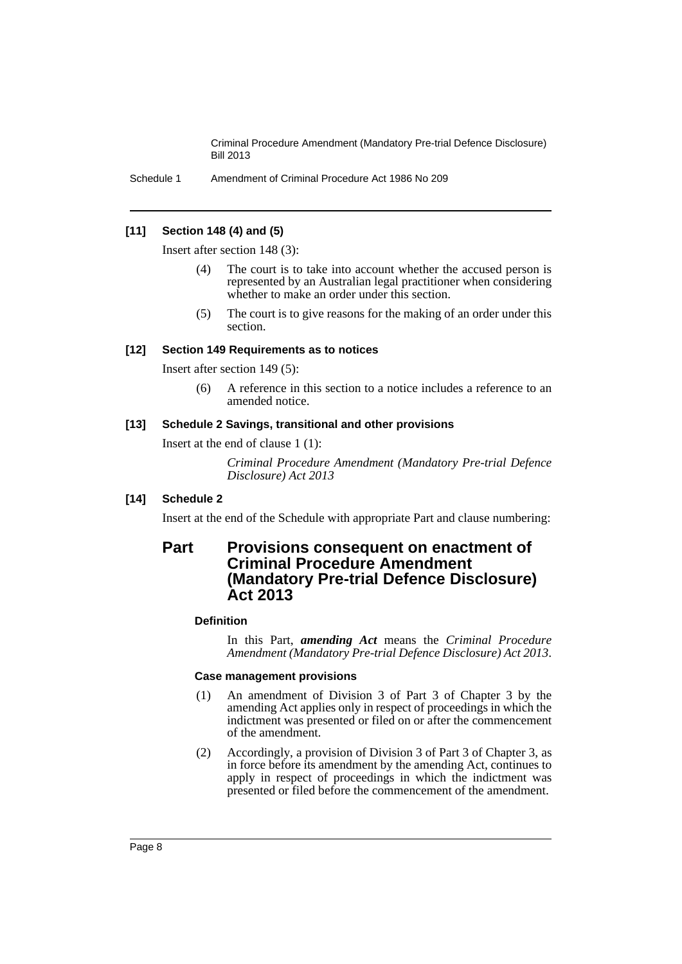Schedule 1 Amendment of Criminal Procedure Act 1986 No 209

#### **[11] Section 148 (4) and (5)**

Insert after section 148 (3):

- (4) The court is to take into account whether the accused person is represented by an Australian legal practitioner when considering whether to make an order under this section.
- (5) The court is to give reasons for the making of an order under this section.

#### **[12] Section 149 Requirements as to notices**

Insert after section 149 (5):

(6) A reference in this section to a notice includes a reference to an amended notice.

#### **[13] Schedule 2 Savings, transitional and other provisions**

Insert at the end of clause 1 (1):

*Criminal Procedure Amendment (Mandatory Pre-trial Defence Disclosure) Act 2013*

#### **[14] Schedule 2**

Insert at the end of the Schedule with appropriate Part and clause numbering:

### **Part Provisions consequent on enactment of Criminal Procedure Amendment (Mandatory Pre-trial Defence Disclosure) Act 2013**

#### **Definition**

In this Part, *amending Act* means the *Criminal Procedure Amendment (Mandatory Pre-trial Defence Disclosure) Act 2013*.

#### **Case management provisions**

- (1) An amendment of Division 3 of Part 3 of Chapter 3 by the amending Act applies only in respect of proceedings in which the indictment was presented or filed on or after the commencement of the amendment.
- (2) Accordingly, a provision of Division 3 of Part 3 of Chapter 3, as in force before its amendment by the amending Act, continues to apply in respect of proceedings in which the indictment was presented or filed before the commencement of the amendment.